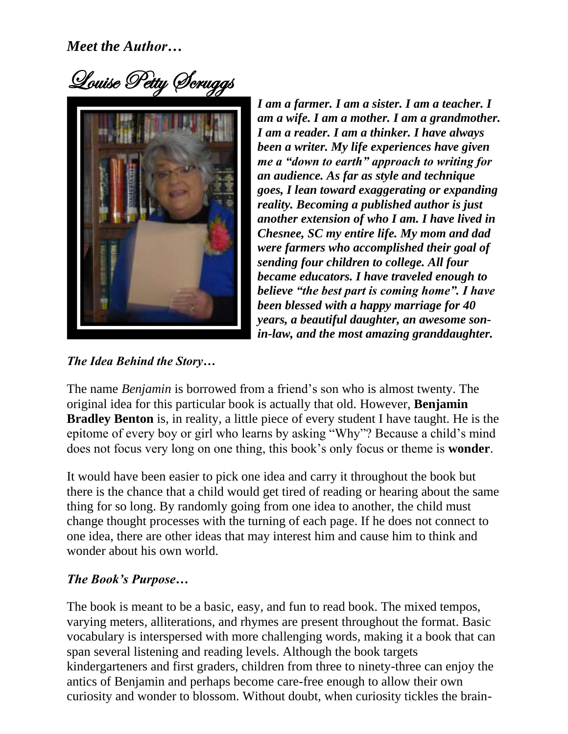Louise Petty Scruggs



*I am a farmer. I am a sister. I am a teacher. I am a wife. I am a mother. I am a grandmother. I am a reader. I am a thinker. I have always been a writer. My life experiences have given me a "down to earth" approach to writing for an audience. As far as style and technique goes, I lean toward exaggerating or expanding reality. Becoming a published author is just another extension of who I am. I have lived in Chesnee, SC my entire life. My mom and dad were farmers who accomplished their goal of sending four children to college. All four became educators. I have traveled enough to believe "the best part is coming home". I have been blessed with a happy marriage for 40 years, a beautiful daughter, an awesome sonin-law, and the most amazing granddaughter.*

## *The Idea Behind the Story…*

The name *Benjamin* is borrowed from a friend's son who is almost twenty. The original idea for this particular book is actually that old. However, **Benjamin Bradley Benton** is, in reality, a little piece of every student I have taught. He is the epitome of every boy or girl who learns by asking "Why"? Because a child's mind does not focus very long on one thing, this book's only focus or theme is **wonder**.

It would have been easier to pick one idea and carry it throughout the book but there is the chance that a child would get tired of reading or hearing about the same thing for so long. By randomly going from one idea to another, the child must change thought processes with the turning of each page. If he does not connect to one idea, there are other ideas that may interest him and cause him to think and wonder about his own world.

## *The Book's Purpose…*

The book is meant to be a basic, easy, and fun to read book. The mixed tempos, varying meters, alliterations, and rhymes are present throughout the format. Basic vocabulary is interspersed with more challenging words, making it a book that can span several listening and reading levels. Although the book targets kindergarteners and first graders, children from three to ninety-three can enjoy the antics of Benjamin and perhaps become care-free enough to allow their own curiosity and wonder to blossom. Without doubt, when curiosity tickles the brain